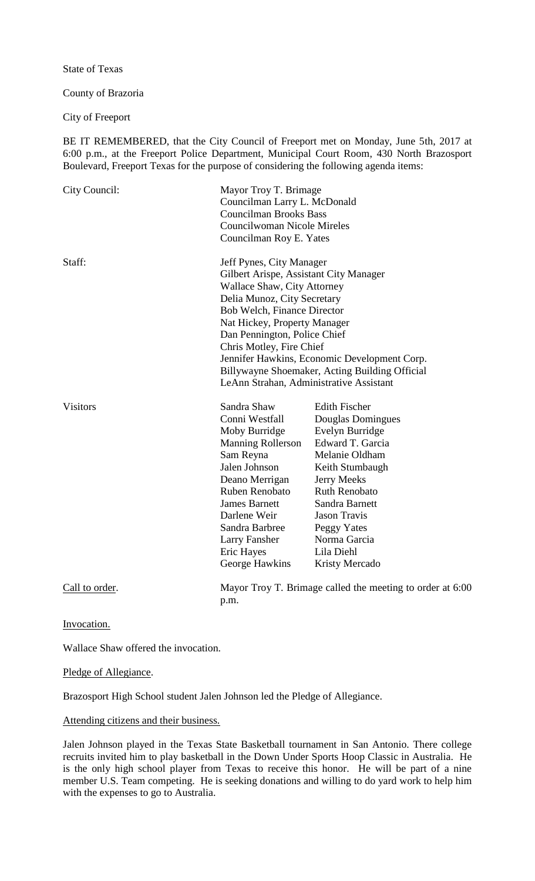State of Texas

County of Brazoria

City of Freeport

BE IT REMEMBERED, that the City Council of Freeport met on Monday, June 5th, 2017 at 6:00 p.m., at the Freeport Police Department, Municipal Court Room, 430 North Brazosport Boulevard, Freeport Texas for the purpose of considering the following agenda items:

| City Council:   | Mayor Troy T. Brimage<br>Councilman Larry L. McDonald<br><b>Councilman Brooks Bass</b><br><b>Councilwoman Nicole Mireles</b><br>Councilman Roy E. Yates                                                                                                                                                                                                                                                  |                                                                                                                                                                                                                                                                      |
|-----------------|----------------------------------------------------------------------------------------------------------------------------------------------------------------------------------------------------------------------------------------------------------------------------------------------------------------------------------------------------------------------------------------------------------|----------------------------------------------------------------------------------------------------------------------------------------------------------------------------------------------------------------------------------------------------------------------|
| Staff:          | Jeff Pynes, City Manager<br>Gilbert Arispe, Assistant City Manager<br>Wallace Shaw, City Attorney<br>Delia Munoz, City Secretary<br>Bob Welch, Finance Director<br>Nat Hickey, Property Manager<br>Dan Pennington, Police Chief<br>Chris Motley, Fire Chief<br>Jennifer Hawkins, Economic Development Corp.<br>Billywayne Shoemaker, Acting Building Official<br>LeAnn Strahan, Administrative Assistant |                                                                                                                                                                                                                                                                      |
| <b>Visitors</b> | Sandra Shaw<br>Conni Westfall<br>Moby Burridge<br><b>Manning Rollerson</b><br>Sam Reyna<br>Jalen Johnson<br>Deano Merrigan<br>Ruben Renobato<br><b>James Barnett</b><br>Darlene Weir<br>Sandra Barbree<br>Larry Fansher<br><b>Eric Hayes</b><br>George Hawkins                                                                                                                                           | <b>Edith Fischer</b><br>Douglas Domingues<br>Evelyn Burridge<br>Edward T. Garcia<br>Melanie Oldham<br>Keith Stumbaugh<br>Jerry Meeks<br><b>Ruth Renobato</b><br>Sandra Barnett<br><b>Jason Travis</b><br>Peggy Yates<br>Norma Garcia<br>Lila Diehl<br>Kristy Mercado |
| Call to order.  | Mayor Troy T. Brimage called the meeting to order at 6:00<br>p.m.                                                                                                                                                                                                                                                                                                                                        |                                                                                                                                                                                                                                                                      |

Invocation.

Wallace Shaw offered the invocation.

Pledge of Allegiance.

Brazosport High School student Jalen Johnson led the Pledge of Allegiance.

Attending citizens and their business.

Jalen Johnson played in the Texas State Basketball tournament in San Antonio. There college recruits invited him to play basketball in the Down Under Sports Hoop Classic in Australia. He is the only high school player from Texas to receive this honor. He will be part of a nine member U.S. Team competing. He is seeking donations and willing to do yard work to help him with the expenses to go to Australia.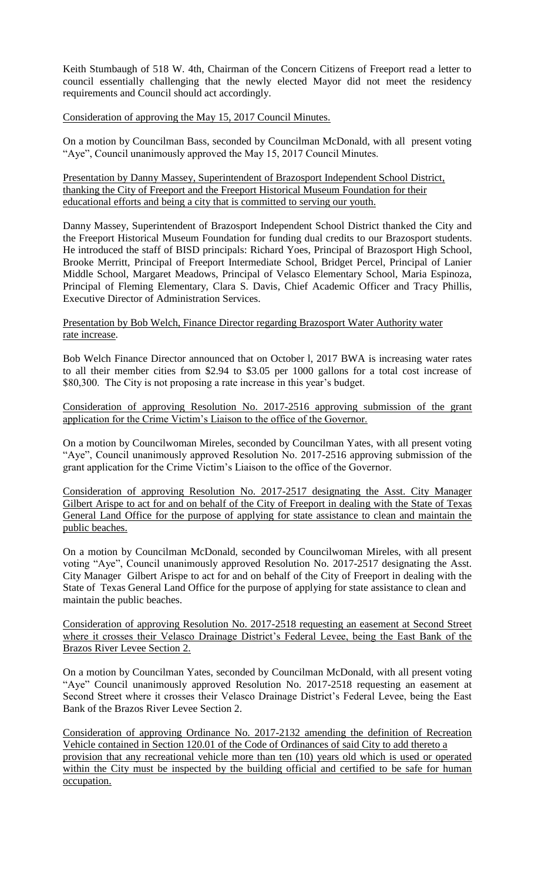Keith Stumbaugh of 518 W. 4th, Chairman of the Concern Citizens of Freeport read a letter to council essentially challenging that the newly elected Mayor did not meet the residency requirements and Council should act accordingly.

Consideration of approving the May 15, 2017 Council Minutes.

On a motion by Councilman Bass, seconded by Councilman McDonald, with all present voting "Aye", Council unanimously approved the May 15, 2017 Council Minutes.

Presentation by Danny Massey, Superintendent of Brazosport Independent School District, thanking the City of Freeport and the Freeport Historical Museum Foundation for their educational efforts and being a city that is committed to serving our youth.

Danny Massey, Superintendent of Brazosport Independent School District thanked the City and the Freeport Historical Museum Foundation for funding dual credits to our Brazosport students. He introduced the staff of BISD principals: Richard Yoes, Principal of Brazosport High School, Brooke Merritt, Principal of Freeport Intermediate School, Bridget Percel, Principal of Lanier Middle School, Margaret Meadows, Principal of Velasco Elementary School, Maria Espinoza, Principal of Fleming Elementary, Clara S. Davis, Chief Academic Officer and Tracy Phillis, Executive Director of Administration Services.

Presentation by Bob Welch, Finance Director regarding Brazosport Water Authority water rate increase.

Bob Welch Finance Director announced that on October l, 2017 BWA is increasing water rates to all their member cities from \$2.94 to \$3.05 per 1000 gallons for a total cost increase of \$80,300. The City is not proposing a rate increase in this year's budget.

Consideration of approving Resolution No. 2017-2516 approving submission of the grant application for the Crime Victim's Liaison to the office of the Governor.

On a motion by Councilwoman Mireles, seconded by Councilman Yates, with all present voting "Aye", Council unanimously approved Resolution No. 2017-2516 approving submission of the grant application for the Crime Victim's Liaison to the office of the Governor.

Consideration of approving Resolution No. 2017-2517 designating the Asst. City Manager Gilbert Arispe to act for and on behalf of the City of Freeport in dealing with the State of Texas General Land Office for the purpose of applying for state assistance to clean and maintain the public beaches.

On a motion by Councilman McDonald, seconded by Councilwoman Mireles, with all present voting "Aye", Council unanimously approved Resolution No. 2017-2517 designating the Asst. City Manager Gilbert Arispe to act for and on behalf of the City of Freeport in dealing with the State of Texas General Land Office for the purpose of applying for state assistance to clean and maintain the public beaches.

Consideration of approving Resolution No. 2017-2518 requesting an easement at Second Street where it crosses their Velasco Drainage District's Federal Levee, being the East Bank of the Brazos River Levee Section 2.

On a motion by Councilman Yates, seconded by Councilman McDonald, with all present voting "Aye" Council unanimously approved Resolution No. 2017-2518 requesting an easement at Second Street where it crosses their Velasco Drainage District's Federal Levee, being the East Bank of the Brazos River Levee Section 2.

Consideration of approving Ordinance No. 2017-2132 amending the definition of Recreation Vehicle contained in Section 120.01 of the Code of Ordinances of said City to add thereto a provision that any recreational vehicle more than ten (10) years old which is used or operated within the City must be inspected by the building official and certified to be safe for human occupation.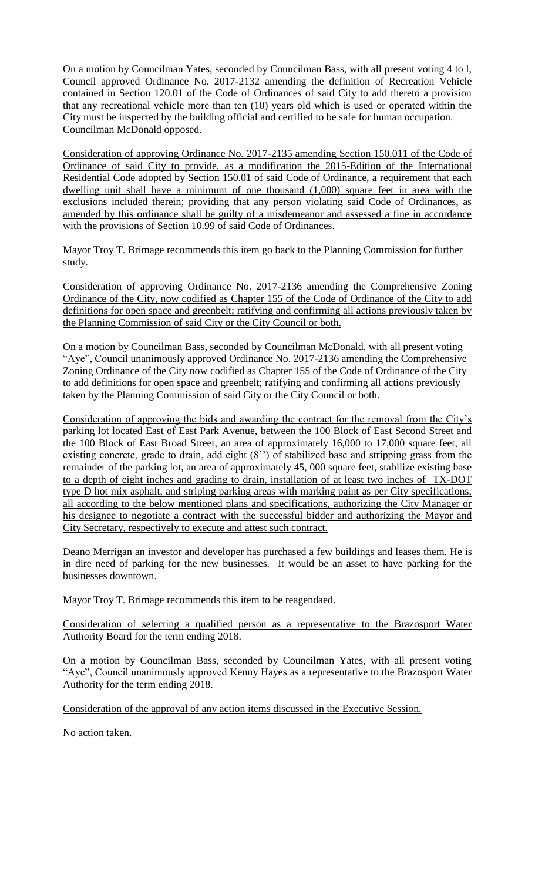On a motion by Councilman Yates, seconded by Councilman Bass, with all present voting 4 to l, Council approved Ordinance No. 2017-2132 amending the definition of Recreation Vehicle contained in Section 120.01 of the Code of Ordinances of said City to add thereto a provision that any recreational vehicle more than ten (10) years old which is used or operated within the City must be inspected by the building official and certified to be safe for human occupation. Councilman McDonald opposed.

Consideration of approving Ordinance No. 2017-2135 amending Section 150.011 of the Code of Ordinance of said City to provide, as a modification the 2015-Edition of the International Residential Code adopted by Section 150.01 of said Code of Ordinance, a requirement that each dwelling unit shall have a minimum of one thousand (1,000) square feet in area with the exclusions included therein; providing that any person violating said Code of Ordinances, as amended by this ordinance shall be guilty of a misdemeanor and assessed a fine in accordance with the provisions of Section 10.99 of said Code of Ordinances.

Mayor Troy T. Brimage recommends this item go back to the Planning Commission for further study.

Consideration of approving Ordinance No. 2017-2136 amending the Comprehensive Zoning Ordinance of the City, now codified as Chapter 155 of the Code of Ordinance of the City to add definitions for open space and greenbelt; ratifying and confirming all actions previously taken by the Planning Commission of said City or the City Council or both.

On a motion by Councilman Bass, seconded by Councilman McDonald, with all present voting "Aye", Council unanimously approved Ordinance No. 2017-2136 amending the Comprehensive Zoning Ordinance of the City now codified as Chapter 155 of the Code of Ordinance of the City to add definitions for open space and greenbelt; ratifying and confirming all actions previously taken by the Planning Commission of said City or the City Council or both.

Consideration of approving the bids and awarding the contract for the removal from the City's parking lot located East of East Park Avenue, between the 100 Block of East Second Street and the 100 Block of East Broad Street, an area of approximately 16,000 to 17,000 square feet, all existing concrete, grade to drain, add eight (8'') of stabilized base and stripping grass from the remainder of the parking lot, an area of approximately 45, 000 square feet, stabilize existing base to a depth of eight inches and grading to drain, installation of at least two inches of TX-DOT type D hot mix asphalt, and striping parking areas with marking paint as per City specifications, all according to the below mentioned plans and specifications, authorizing the City Manager or his designee to negotiate a contract with the successful bidder and authorizing the Mayor and City Secretary, respectively to execute and attest such contract.

Deano Merrigan an investor and developer has purchased a few buildings and leases them. He is in dire need of parking for the new businesses. It would be an asset to have parking for the businesses downtown.

Mayor Troy T. Brimage recommends this item to be reagendaed.

Consideration of selecting a qualified person as a representative to the Brazosport Water Authority Board for the term ending 2018.

On a motion by Councilman Bass, seconded by Councilman Yates, with all present voting "Aye", Council unanimously approved Kenny Hayes as a representative to the Brazosport Water Authority for the term ending 2018.

Consideration of the approval of any action items discussed in the Executive Session.

No action taken.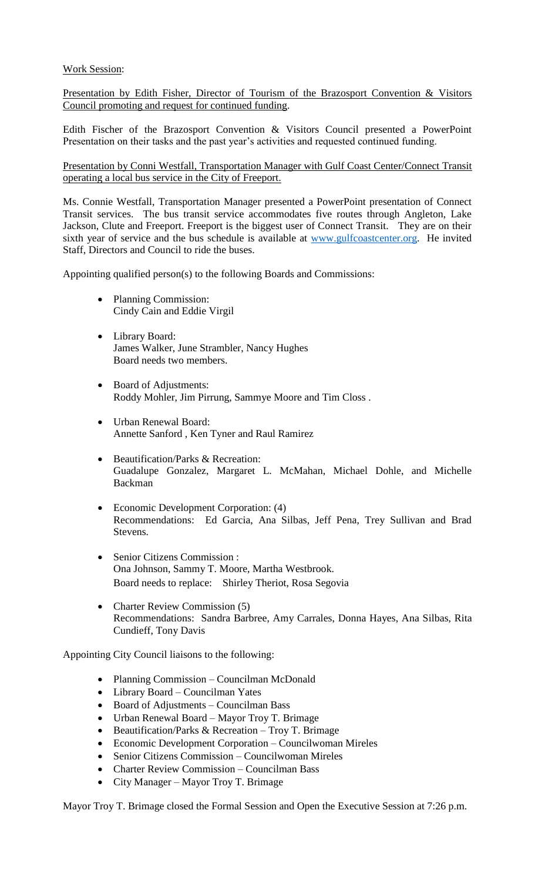Work Session:

Presentation by Edith Fisher, Director of Tourism of the Brazosport Convention & Visitors Council promoting and request for continued funding.

Edith Fischer of the Brazosport Convention & Visitors Council presented a PowerPoint Presentation on their tasks and the past year's activities and requested continued funding.

Presentation by Conni Westfall, Transportation Manager with Gulf Coast Center/Connect Transit operating a local bus service in the City of Freeport.

Ms. Connie Westfall, Transportation Manager presented a PowerPoint presentation of Connect Transit services. The bus transit service accommodates five routes through Angleton, Lake Jackson, Clute and Freeport. Freeport is the biggest user of Connect Transit. They are on their sixth year of service and the bus schedule is available at [www.gulfcoastcenter.org.](http://www.gulfcoastcenter.org/) He invited Staff, Directors and Council to ride the buses.

Appointing qualified person(s) to the following Boards and Commissions:

- Planning Commission: Cindy Cain and Eddie Virgil
- Library Board: James Walker, June Strambler, Nancy Hughes Board needs two members.
- Board of Adjustments: Roddy Mohler, Jim Pirrung, Sammye Moore and Tim Closs .
- Urban Renewal Board: Annette Sanford , Ken Tyner and Raul Ramirez
- Beautification/Parks & Recreation: Guadalupe Gonzalez, Margaret L. McMahan, Michael Dohle, and Michelle Backman
- Economic Development Corporation: (4) Recommendations: Ed Garcia, Ana Silbas, Jeff Pena, Trey Sullivan and Brad Stevens.
- Senior Citizens Commission : Ona Johnson, Sammy T. Moore, Martha Westbrook. Board needs to replace: Shirley Theriot, Rosa Segovia
- Charter Review Commission (5) Recommendations: Sandra Barbree, Amy Carrales, Donna Hayes, Ana Silbas, Rita Cundieff, Tony Davis

Appointing City Council liaisons to the following:

- Planning Commission Councilman McDonald
- Library Board Councilman Yates
- Board of Adjustments Councilman Bass
- Urban Renewal Board Mayor Troy T. Brimage
- Beautification/Parks & Recreation Troy T. Brimage
- Economic Development Corporation Councilwoman Mireles
- Senior Citizens Commission Councilwoman Mireles
- Charter Review Commission Councilman Bass
- City Manager Mayor Troy T. Brimage

Mayor Troy T. Brimage closed the Formal Session and Open the Executive Session at 7:26 p.m.